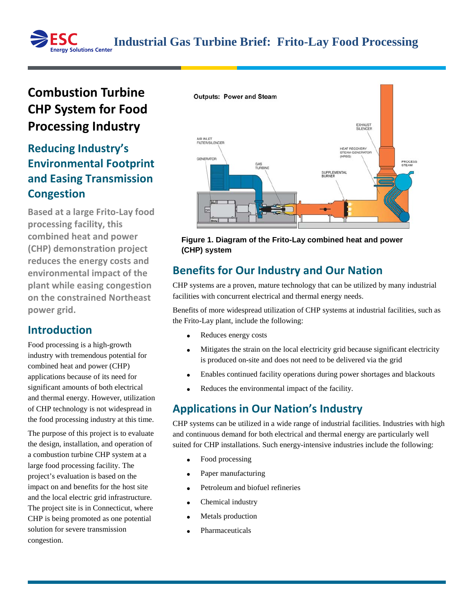# **Combustion Turbine CHP System for Food Processing Industry**

# **Reducing Industry's Environmental Footprint and Easing Transmission Congestion**

**Based at a large Frito-Lay food processing facility, this combined heat and power (CHP) demonstration project reduces the energy costs and environmental impact of the plant while easing congestion on the constrained Northeast power grid.**

#### **Introduction**

Food processing is a high-growth industry with tremendous potential for combined heat and power (CHP) applications because of its need for significant amounts of both electrical and thermal energy. However, utilization of CHP technology is not widespread in the food processing industry at this time.

The purpose of this project is to evaluate the design, installation, and operation of a combustion turbine CHP system at a large food processing facility. The project's evaluation is based on the impact on and benefits for the host site and the local electric grid infrastructure. The project site is in Connecticut, where CHP is being promoted as one potential solution for severe transmission congestion.



#### **Figure 1. Diagram of the Frito-Lay combined heat and power (CHP) system**

# **Benefits for Our Industry and Our Nation**

CHP systems are a proven, mature technology that can be utilized by many industrial facilities with concurrent electrical and thermal energy needs.

Benefits of more widespread utilization of CHP systems at industrial facilities, such as the Frito-Lay plant, include the following:

- Reduces energy costs
- Mitigates the strain on the local electricity grid because significant electricity is produced on-site and does not need to be delivered via the grid
- Enables continued facility operations during power shortages and blackouts
- Reduces the environmental impact of the facility.

# **Applications in Our Nation's Industry**

CHP systems can be utilized in a wide range of industrial facilities. Industries with high and continuous demand for both electrical and thermal energy are particularly well suited for CHP installations. Such energy-intensive industries include the following:

- Food processing
- Paper manufacturing
- Petroleum and biofuel refineries
- Chemical industry
- Metals production
- **Pharmaceuticals**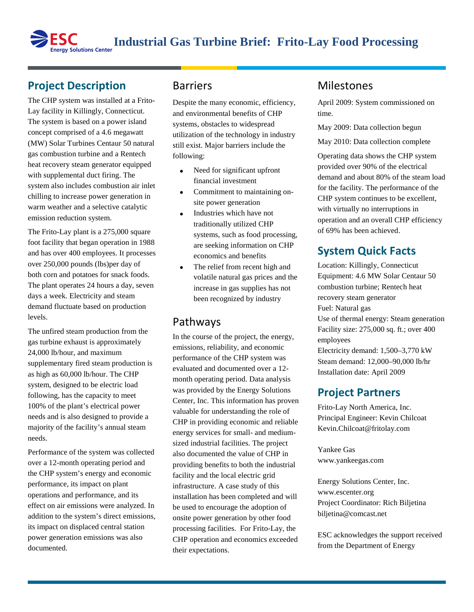# **Project Description**

The CHP system was installed at a Frito-Lay facility in Killingly, Connecticut. The system is based on a power island concept comprised of a 4.6 megawatt (MW) Solar Turbines Centaur 50 natural gas combustion turbine and a Rentech heat recovery steam generator equipped with supplemental duct firing. The system also includes combustion air inlet chilling to increase power generation in warm weather and a selective catalytic emission reduction system.

The Frito-Lay plant is a 275,000 square foot facility that began operation in 1988 and has over 400 employees. It processes over 250,000 pounds (lbs)per day of both corn and potatoes for snack foods. The plant operates 24 hours a day, seven days a week. Electricity and steam demand fluctuate based on production levels.

The unfired steam production from the gas turbine exhaust is approximately 24,000 lb/hour, and maximum supplementary fired steam production is as high as 60,000 lb/hour. The CHP system, designed to be electric load following, has the capacity to meet 100% of the plant's electrical power needs and is also designed to provide a majority of the facility's annual steam needs.

Performance of the system was collected over a 12-month operating period and the CHP system's energy and economic performance, its impact on plant operations and performance, and its effect on air emissions were analyzed. In addition to the system's direct emissions, its impact on displaced central station power generation emissions was also documented.

#### Barriers

Despite the many economic, efficiency, and environmental benefits of CHP systems, obstacles to widespread utilization of the technology in industry still exist. Major barriers include the following:

- Need for significant upfront financial investment
- Commitment to maintaining onsite power generation
- Industries which have not traditionally utilized CHP systems, such as food processing, are seeking information on CHP economics and benefits
- The relief from recent high and volatile natural gas prices and the increase in gas supplies has not been recognized by industry

#### Pathways

In the course of the project, the energy, emissions, reliability, and economic performance of the CHP system was evaluated and documented over a 12 month operating period. Data analysis was provided by the Energy Solutions Center, Inc. This information has proven valuable for understanding the role of CHP in providing economic and reliable energy services for small- and mediumsized industrial facilities. The project also documented the value of CHP in providing benefits to both the industrial facility and the local electric grid infrastructure. A case study of this installation has been completed and will be used to encourage the adoption of onsite power generation by other food processing facilities. For Frito-Lay, the CHP operation and economics exceeded their expectations.

### Milestones

April 2009: System commissioned on time.

May 2009: Data collection begun

May 2010: Data collection complete

Operating data shows the CHP system provided over 90% of the electrical demand and about 80% of the steam load for the facility. The performance of the CHP system continues to be excellent, with virtually no interruptions in operation and an overall CHP efficiency of 69% has been achieved.

#### **System Quick Facts**

Location: Killingly, Connecticut Equipment: 4.6 MW Solar Centaur 50 combustion turbine; Rentech heat recovery steam generator Fuel: Natural gas Use of thermal energy: Steam generation Facility size: 275,000 sq. ft.; over 400 employees Electricity demand: 1,500–3,770 kW Steam demand: 12,000–90,000 lb/hr Installation date: April 2009

### **Project Partners**

Frito-Lay North America, Inc. Principal Engineer: Kevin Chilcoat Kevin.Chilcoat@fritolay.com

Yankee Gas www.yankeegas.com

Energy Solutions Center, Inc. www.escenter.org Project Coordinator: Rich Biljetina biljetina@comcast.net

ESC acknowledges the support received from the Department of Energy